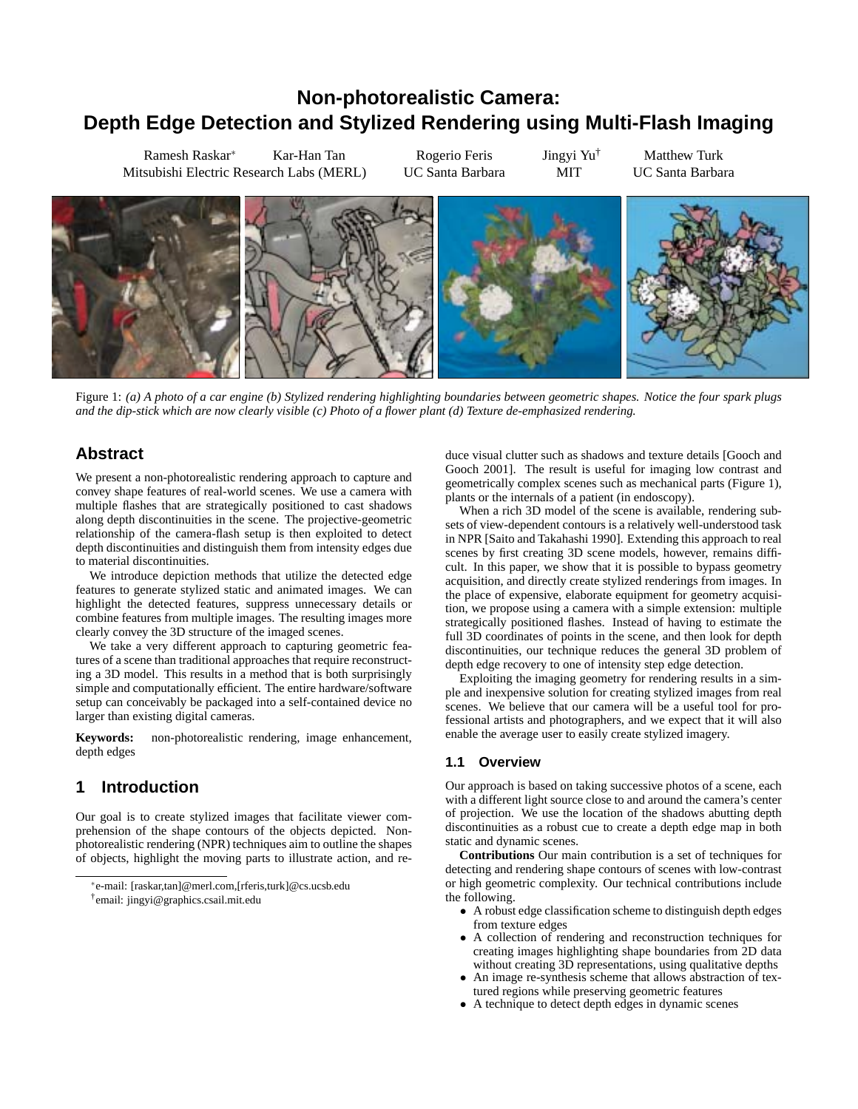# **Non-photorealistic Camera: Depth Edge Detection and Stylized Rendering using Multi-Flash Imaging**

Ramesh Raskar∗ Kar-Han Tan Mitsubishi Electric Research Labs (MERL)

Rogerio Feris UC Santa Barbara Jingyi Yu† MIT

Matthew Turk UC Santa Barbara



Figure 1: *(a) A photo of a car engine (b) Stylized rendering highlighting boundaries between geometric shapes. Notice the four spark plugs and the dip-stick which are now clearly visible (c) Photo of a flower plant (d) Texture de-emphasized rendering.*

# **Abstract**

We present a non-photorealistic rendering approach to capture and convey shape features of real-world scenes. We use a camera with multiple flashes that are strategically positioned to cast shadows along depth discontinuities in the scene. The projective-geometric relationship of the camera-flash setup is then exploited to detect depth discontinuities and distinguish them from intensity edges due to material discontinuities.

We introduce depiction methods that utilize the detected edge features to generate stylized static and animated images. We can highlight the detected features, suppress unnecessary details or combine features from multiple images. The resulting images more clearly convey the 3D structure of the imaged scenes.

We take a very different approach to capturing geometric features of a scene than traditional approaches that require reconstructing a 3D model. This results in a method that is both surprisingly simple and computationally efficient. The entire hardware/software setup can conceivably be packaged into a self-contained device no larger than existing digital cameras.

**Keywords:** non-photorealistic rendering, image enhancement, depth edges

# **1 Introduction**

Our goal is to create stylized images that facilitate viewer comprehension of the shape contours of the objects depicted. Nonphotorealistic rendering (NPR) techniques aim to outline the shapes of objects, highlight the moving parts to illustrate action, and re-

duce visual clutter such as shadows and texture details [Gooch and Gooch 2001]. The result is useful for imaging low contrast and geometrically complex scenes such as mechanical parts (Figure 1), plants or the internals of a patient (in endoscopy).

When a rich 3D model of the scene is available, rendering subsets of view-dependent contours is a relatively well-understood task in NPR [Saito and Takahashi 1990]. Extending this approach to real scenes by first creating 3D scene models, however, remains difficult. In this paper, we show that it is possible to bypass geometry acquisition, and directly create stylized renderings from images. In the place of expensive, elaborate equipment for geometry acquisition, we propose using a camera with a simple extension: multiple strategically positioned flashes. Instead of having to estimate the full 3D coordinates of points in the scene, and then look for depth discontinuities, our technique reduces the general 3D problem of depth edge recovery to one of intensity step edge detection.

Exploiting the imaging geometry for rendering results in a simple and inexpensive solution for creating stylized images from real scenes. We believe that our camera will be a useful tool for professional artists and photographers, and we expect that it will also enable the average user to easily create stylized imagery.

### **1.1 Overview**

Our approach is based on taking successive photos of a scene, each with a different light source close to and around the camera's center of projection. We use the location of the shadows abutting depth discontinuities as a robust cue to create a depth edge map in both static and dynamic scenes.

**Contributions** Our main contribution is a set of techniques for detecting and rendering shape contours of scenes with low-contrast or high geometric complexity. Our technical contributions include the following.

- *•* A robust edge classification scheme to distinguish depth edges from texture edges
- *•* A collection of rendering and reconstruction techniques for creating images highlighting shape boundaries from 2D data without creating 3D representations, using qualitative depths
- An image re-synthesis scheme that allows abstraction of textured regions while preserving geometric features
- *•* A technique to detect depth edges in dynamic scenes

<sup>∗</sup>e-mail: [raskar,tan]@merl.com,[rferis,turk]@cs.ucsb.edu

<sup>†</sup>email: jingyi@graphics.csail.mit.edu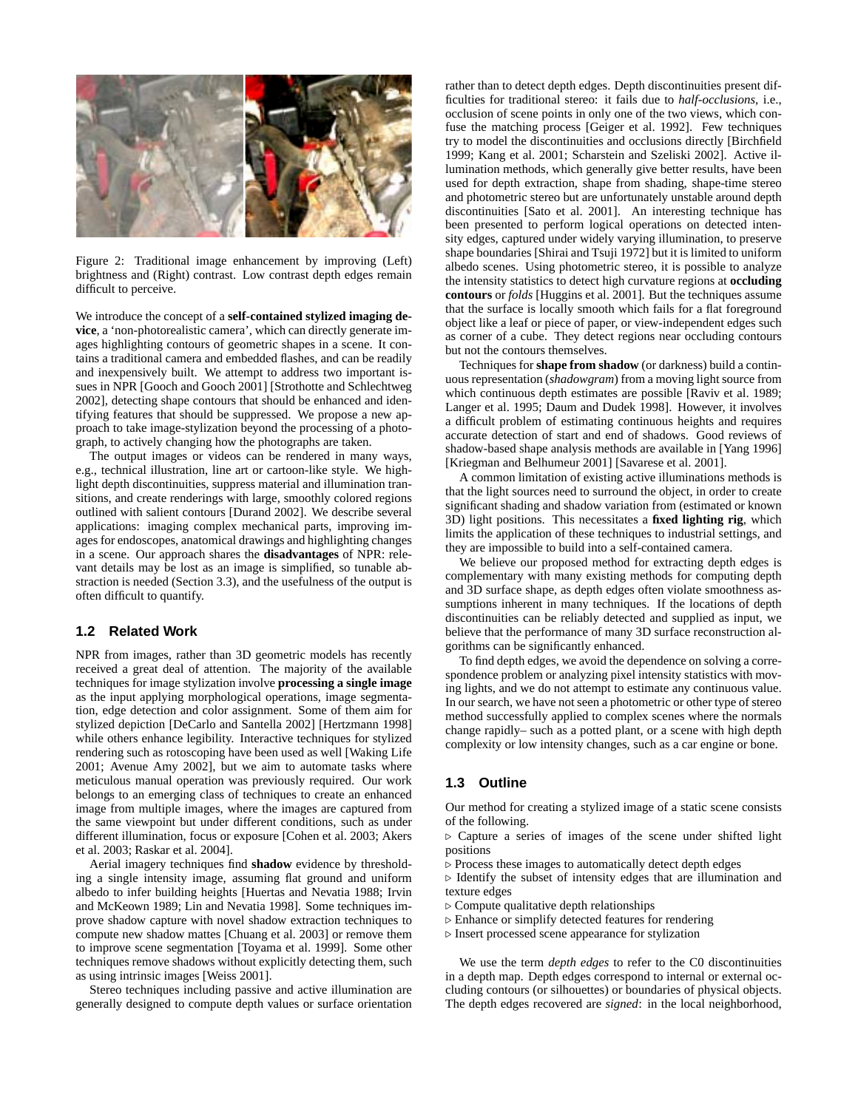

Figure 2: Traditional image enhancement by improving (Left) brightness and (Right) contrast. Low contrast depth edges remain difficult to perceive.

We introduce the concept of a **self-contained stylized imaging device**, a 'non-photorealistic camera', which can directly generate images highlighting contours of geometric shapes in a scene. It contains a traditional camera and embedded flashes, and can be readily and inexpensively built. We attempt to address two important issues in NPR [Gooch and Gooch 2001] [Strothotte and Schlechtweg 2002], detecting shape contours that should be enhanced and identifying features that should be suppressed. We propose a new approach to take image-stylization beyond the processing of a photograph, to actively changing how the photographs are taken.

The output images or videos can be rendered in many ways, e.g., technical illustration, line art or cartoon-like style. We highlight depth discontinuities, suppress material and illumination transitions, and create renderings with large, smoothly colored regions outlined with salient contours [Durand 2002]. We describe several applications: imaging complex mechanical parts, improving images for endoscopes, anatomical drawings and highlighting changes in a scene. Our approach shares the **disadvantages** of NPR: relevant details may be lost as an image is simplified, so tunable abstraction is needed (Section 3.3), and the usefulness of the output is often difficult to quantify.

### **1.2 Related Work**

NPR from images, rather than 3D geometric models has recently received a great deal of attention. The majority of the available techniques for image stylization involve **processing a single image** as the input applying morphological operations, image segmentation, edge detection and color assignment. Some of them aim for stylized depiction [DeCarlo and Santella 2002] [Hertzmann 1998] while others enhance legibility. Interactive techniques for stylized rendering such as rotoscoping have been used as well [Waking Life 2001; Avenue Amy 2002], but we aim to automate tasks where meticulous manual operation was previously required. Our work belongs to an emerging class of techniques to create an enhanced image from multiple images, where the images are captured from the same viewpoint but under different conditions, such as under different illumination, focus or exposure [Cohen et al. 2003; Akers et al. 2003; Raskar et al. 2004].

Aerial imagery techniques find **shadow** evidence by thresholding a single intensity image, assuming flat ground and uniform albedo to infer building heights [Huertas and Nevatia 1988; Irvin and McKeown 1989; Lin and Nevatia 1998]. Some techniques improve shadow capture with novel shadow extraction techniques to compute new shadow mattes [Chuang et al. 2003] or remove them to improve scene segmentation [Toyama et al. 1999]. Some other techniques remove shadows without explicitly detecting them, such as using intrinsic images [Weiss 2001].

Stereo techniques including passive and active illumination are generally designed to compute depth values or surface orientation rather than to detect depth edges. Depth discontinuities present difficulties for traditional stereo: it fails due to *half-occlusions*, i.e., occlusion of scene points in only one of the two views, which confuse the matching process [Geiger et al. 1992]. Few techniques try to model the discontinuities and occlusions directly [Birchfield 1999; Kang et al. 2001; Scharstein and Szeliski 2002]. Active illumination methods, which generally give better results, have been used for depth extraction, shape from shading, shape-time stereo and photometric stereo but are unfortunately unstable around depth discontinuities [Sato et al. 2001]. An interesting technique has been presented to perform logical operations on detected intensity edges, captured under widely varying illumination, to preserve shape boundaries [Shirai and Tsuji 1972] but it is limited to uniform albedo scenes. Using photometric stereo, it is possible to analyze the intensity statistics to detect high curvature regions at **occluding contours** or *folds* [Huggins et al. 2001]. But the techniques assume that the surface is locally smooth which fails for a flat foreground object like a leaf or piece of paper, or view-independent edges such as corner of a cube. They detect regions near occluding contours but not the contours themselves.

Techniques for **shape from shadow** (or darkness) build a continuous representation (*shadowgram*) from a moving light source from which continuous depth estimates are possible [Raviv et al. 1989; Langer et al. 1995; Daum and Dudek 1998]. However, it involves a difficult problem of estimating continuous heights and requires accurate detection of start and end of shadows. Good reviews of shadow-based shape analysis methods are available in [Yang 1996] [Kriegman and Belhumeur 2001] [Savarese et al. 2001].

A common limitation of existing active illuminations methods is that the light sources need to surround the object, in order to create significant shading and shadow variation from (estimated or known 3D) light positions. This necessitates a **fixed lighting rig**, which limits the application of these techniques to industrial settings, and they are impossible to build into a self-contained camera.

We believe our proposed method for extracting depth edges is complementary with many existing methods for computing depth and 3D surface shape, as depth edges often violate smoothness assumptions inherent in many techniques. If the locations of depth discontinuities can be reliably detected and supplied as input, we believe that the performance of many 3D surface reconstruction algorithms can be significantly enhanced.

To find depth edges, we avoid the dependence on solving a correspondence problem or analyzing pixel intensity statistics with moving lights, and we do not attempt to estimate any continuous value. In our search, we have not seen a photometric or other type of stereo method successfully applied to complex scenes where the normals change rapidly– such as a potted plant, or a scene with high depth complexity or low intensity changes, such as a car engine or bone.

### **1.3 Outline**

Our method for creating a stylized image of a static scene consists of the following.

 $\triangleright$  Capture a series of images of the scene under shifted light positions

 $\triangleright$  Process these images to automatically detect depth edges

 $\triangleright$  Identify the subset of intensity edges that are illumination and texture edges

 $\triangleright$  Compute qualitative depth relationships

- $\triangleright$  Enhance or simplify detected features for rendering
- $\triangleright$  Insert processed scene appearance for stylization

We use the term *depth edges* to refer to the C0 discontinuities in a depth map. Depth edges correspond to internal or external occluding contours (or silhouettes) or boundaries of physical objects. The depth edges recovered are *signed*: in the local neighborhood,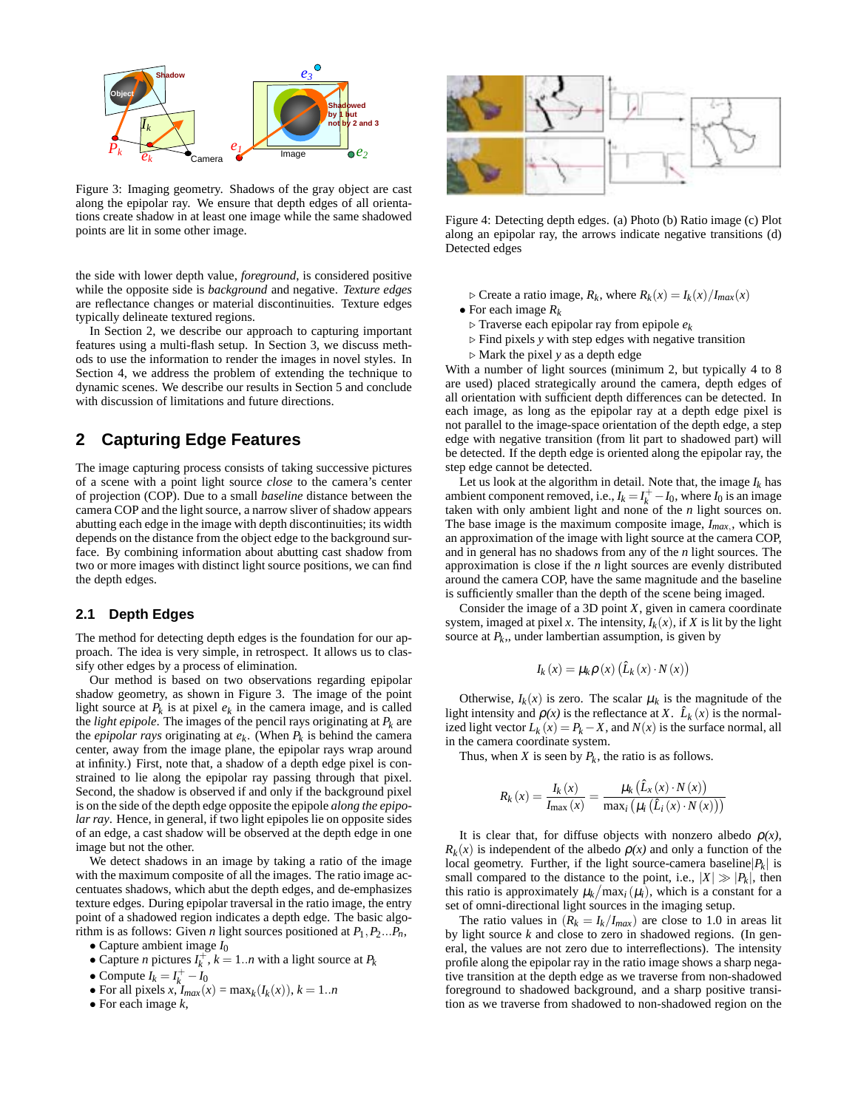

Figure 3: Imaging geometry. Shadows of the gray object are cast along the epipolar ray. We ensure that depth edges of all orientations create shadow in at least one image while the same shadowed points are lit in some other image.

the side with lower depth value, *foreground*, is considered positive while the opposite side is *background* and negative. *Texture edges* are reflectance changes or material discontinuities. Texture edges typically delineate textured regions.

In Section 2, we describe our approach to capturing important features using a multi-flash setup. In Section 3, we discuss methods to use the information to render the images in novel styles. In Section 4, we address the problem of extending the technique to dynamic scenes. We describe our results in Section 5 and conclude with discussion of limitations and future directions.

# **2 Capturing Edge Features**

The image capturing process consists of taking successive pictures of a scene with a point light source *close* to the camera's center of projection (COP). Due to a small *baseline* distance between the camera COP and the light source, a narrow sliver of shadow appears abutting each edge in the image with depth discontinuities; its width depends on the distance from the object edge to the background surface. By combining information about abutting cast shadow from two or more images with distinct light source positions, we can find the depth edges.

### **2.1 Depth Edges**

The method for detecting depth edges is the foundation for our approach. The idea is very simple, in retrospect. It allows us to classify other edges by a process of elimination.

Our method is based on two observations regarding epipolar shadow geometry, as shown in Figure 3. The image of the point light source at  $P_k$  is at pixel  $e_k$  in the camera image, and is called the *light epipole*. The images of the pencil rays originating at  $P_k$  are the *epipolar rays* originating at  $e_k$ . (When  $P_k$  is behind the camera center, away from the image plane, the epipolar rays wrap around at infinity.) First, note that, a shadow of a depth edge pixel is constrained to lie along the epipolar ray passing through that pixel. Second, the shadow is observed if and only if the background pixel is on the side of the depth edge opposite the epipole *along the epipolar ray*. Hence, in general, if two light epipoles lie on opposite sides of an edge, a cast shadow will be observed at the depth edge in one image but not the other.

We detect shadows in an image by taking a ratio of the image with the maximum composite of all the images. The ratio image accentuates shadows, which abut the depth edges, and de-emphasizes texture edges. During epipolar traversal in the ratio image, the entry point of a shadowed region indicates a depth edge. The basic algorithm is as follows: Given *n* light sources positioned at  $P_1$ ,  $P_2...P_n$ ,

- *•* Capture ambient image *I*<sup>0</sup>
- Capture *n* pictures  $I_k^+$ ,  $k = 1..n$  with a light source at  $P_k$
- Compute  $I_k = I_k^+ I_0$
- For all pixels *x*,  $I_{max}(x) = max_k(I_k(x))$ ,  $k = 1..n$
- *•* For each image *k*,



Figure 4: Detecting depth edges. (a) Photo (b) Ratio image (c) Plot along an epipolar ray, the arrows indicate negative transitions (d) Detected edges

- $\triangleright$  Create a ratio image,  $R_k$ , where  $R_k(x) = I_k(x)/I_{max}(x)$
- *•* For each image *Rk*
	- $\triangleright$  Traverse each epipolar ray from epipole  $e_k$
	- $\triangleright$  Find pixels *y* with step edges with negative transition
	- $\triangleright$  Mark the pixel *y* as a depth edge

With a number of light sources (minimum 2, but typically 4 to 8 are used) placed strategically around the camera, depth edges of all orientation with sufficient depth differences can be detected. In each image, as long as the epipolar ray at a depth edge pixel is not parallel to the image-space orientation of the depth edge, a step edge with negative transition (from lit part to shadowed part) will be detected. If the depth edge is oriented along the epipolar ray, the step edge cannot be detected.

Let us look at the algorithm in detail. Note that, the image  $I_k$  has ambient component removed, i.e.,  $I_k = I_k^+ - I_0$ , where  $I_0$  is an image taken with only ambient light and none of the *n* light sources on. The base image is the maximum composite image, *Imax*,, which is an approximation of the image with light source at the camera COP, and in general has no shadows from any of the *n* light sources. The approximation is close if the *n* light sources are evenly distributed around the camera COP, have the same magnitude and the baseline is sufficiently smaller than the depth of the scene being imaged.

Consider the image of a 3D point *X*, given in camera coordinate system, imaged at pixel *x*. The intensity,  $I_k(x)$ , if *X* is lit by the light source at  $P_k$ , under lambertian assumption, is given by

$$
I_{k}(x) = \mu_{k}\rho\left(x\right)\left(\hat{L}_{k}(x)\cdot N(x)\right)
$$

Otherwise,  $I_k(x)$  is zero. The scalar  $\mu_k$  is the magnitude of the light intensity and  $\rho(x)$  is the reflectance at *X*.  $\hat{L}_k(x)$  is the normalized light vector  $L_k(x) = P_k - X$ , and  $N(x)$  is the surface normal, all in the camera coordinate system.

Thus, when *X* is seen by  $P_k$ , the ratio is as follows.

$$
R_k(x) = \frac{I_k(x)}{I_{\max}(x)} = \frac{\mu_k\left(\hat{L}_x(x) \cdot N(x)\right)}{\max_i\left(\mu_i\left(\hat{L}_i(x) \cdot N(x)\right)\right)}
$$

It is clear that, for diffuse objects with nonzero albedo  $\rho(x)$ ,  $R_k(x)$  is independent of the albedo  $\rho(x)$  and only a function of the local geometry. Further, if the light source-camera baseline $|P_k|$  is small compared to the distance to the point, i.e.,  $|X| \gg |P_k|$ , then this ratio is approximately  $\mu_k / \max_i(\mu_i)$ , which is a constant for a set of omni-directional light sources in the imaging setup.

The ratio values in  $(R_k = I_k/I_{max})$  are close to 1.0 in areas lit by light source *k* and close to zero in shadowed regions. (In general, the values are not zero due to interreflections). The intensity profile along the epipolar ray in the ratio image shows a sharp negative transition at the depth edge as we traverse from non-shadowed foreground to shadowed background, and a sharp positive transition as we traverse from shadowed to non-shadowed region on the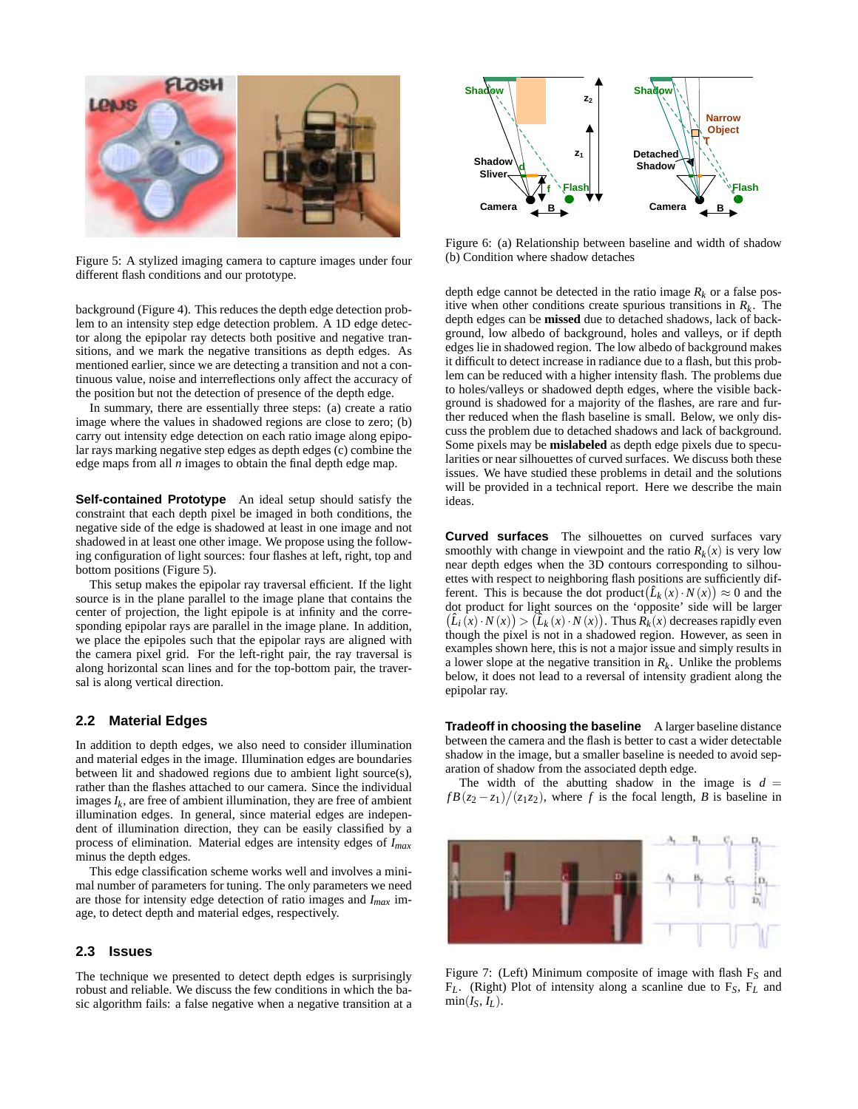

Figure 5: A stylized imaging camera to capture images under four different flash conditions and our prototype.

background (Figure 4). This reduces the depth edge detection problem to an intensity step edge detection problem. A 1D edge detector along the epipolar ray detects both positive and negative transitions, and we mark the negative transitions as depth edges. As mentioned earlier, since we are detecting a transition and not a continuous value, noise and interreflections only affect the accuracy of the position but not the detection of presence of the depth edge.

In summary, there are essentially three steps: (a) create a ratio image where the values in shadowed regions are close to zero; (b) carry out intensity edge detection on each ratio image along epipolar rays marking negative step edges as depth edges (c) combine the edge maps from all *n* images to obtain the final depth edge map.

**Self-contained Prototype** An ideal setup should satisfy the constraint that each depth pixel be imaged in both conditions, the negative side of the edge is shadowed at least in one image and not shadowed in at least one other image. We propose using the following configuration of light sources: four flashes at left, right, top and bottom positions (Figure 5).

This setup makes the epipolar ray traversal efficient. If the light source is in the plane parallel to the image plane that contains the center of projection, the light epipole is at infinity and the corresponding epipolar rays are parallel in the image plane. In addition, we place the epipoles such that the epipolar rays are aligned with the camera pixel grid. For the left-right pair, the ray traversal is along horizontal scan lines and for the top-bottom pair, the traversal is along vertical direction.

#### **2.2 Material Edges**

In addition to depth edges, we also need to consider illumination and material edges in the image. Illumination edges are boundaries between lit and shadowed regions due to ambient light source(s), rather than the flashes attached to our camera. Since the individual images  $I_k$ , are free of ambient illumination, they are free of ambient illumination edges. In general, since material edges are independent of illumination direction, they can be easily classified by a process of elimination. Material edges are intensity edges of *Imax* minus the depth edges.

This edge classification scheme works well and involves a minimal number of parameters for tuning. The only parameters we need are those for intensity edge detection of ratio images and *Imax* image, to detect depth and material edges, respectively.

#### **2.3 Issues**

The technique we presented to detect depth edges is surprisingly robust and reliable. We discuss the few conditions in which the basic algorithm fails: a false negative when a negative transition at a



Figure 6: (a) Relationship between baseline and width of shadow (b) Condition where shadow detaches

depth edge cannot be detected in the ratio image  $R_k$  or a false positive when other conditions create spurious transitions in  $R_k$ . The depth edges can be **missed** due to detached shadows, lack of background, low albedo of background, holes and valleys, or if depth edges lie in shadowed region. The low albedo of background makes it difficult to detect increase in radiance due to a flash, but this problem can be reduced with a higher intensity flash. The problems due to holes/valleys or shadowed depth edges, where the visible background is shadowed for a majority of the flashes, are rare and further reduced when the flash baseline is small. Below, we only discuss the problem due to detached shadows and lack of background. Some pixels may be **mislabeled** as depth edge pixels due to specularities or near silhouettes of curved surfaces. We discuss both these issues. We have studied these problems in detail and the solutions will be provided in a technical report. Here we describe the main ideas.

**Curved surfaces** The silhouettes on curved surfaces vary smoothly with change in viewpoint and the ratio  $R_k(x)$  is very low near depth edges when the 3D contours corresponding to silhouettes with respect to neighboring flash positions are sufficiently different. This is because the dot product  $(\hat{L}_k(x) \cdot N(x)) \approx 0$  and the dot product for light sources on the 'opposite' side will be larger  $(\hat{L}_i(x) \cdot N(x)) > (\hat{L}_k(x) \cdot N(x))$ . Thus  $\hat{R}_k(x)$  decreases rapidly even though the pixel is not in a shadowed region. However, as seen in examples shown here, this is not a major issue and simply results in a lower slope at the negative transition in  $R_k$ . Unlike the problems below, it does not lead to a reversal of intensity gradient along the epipolar ray.

**Tradeoff in choosing the baseline** A larger baseline distance between the camera and the flash is better to cast a wider detectable shadow in the image, but a smaller baseline is needed to avoid separation of shadow from the associated depth edge.

The width of the abutting shadow in the image is  $d =$  $f B(z_2 - z_1) / (z_1 z_2)$ , where *f* is the focal length, *B* is baseline in



Figure 7: (Left) Minimum composite of image with flash F*<sup>S</sup>* and F*L*. (Right) Plot of intensity along a scanline due to F*S*, F*<sup>L</sup>* and  $min(I<sub>S</sub>, I<sub>L</sub>)$ .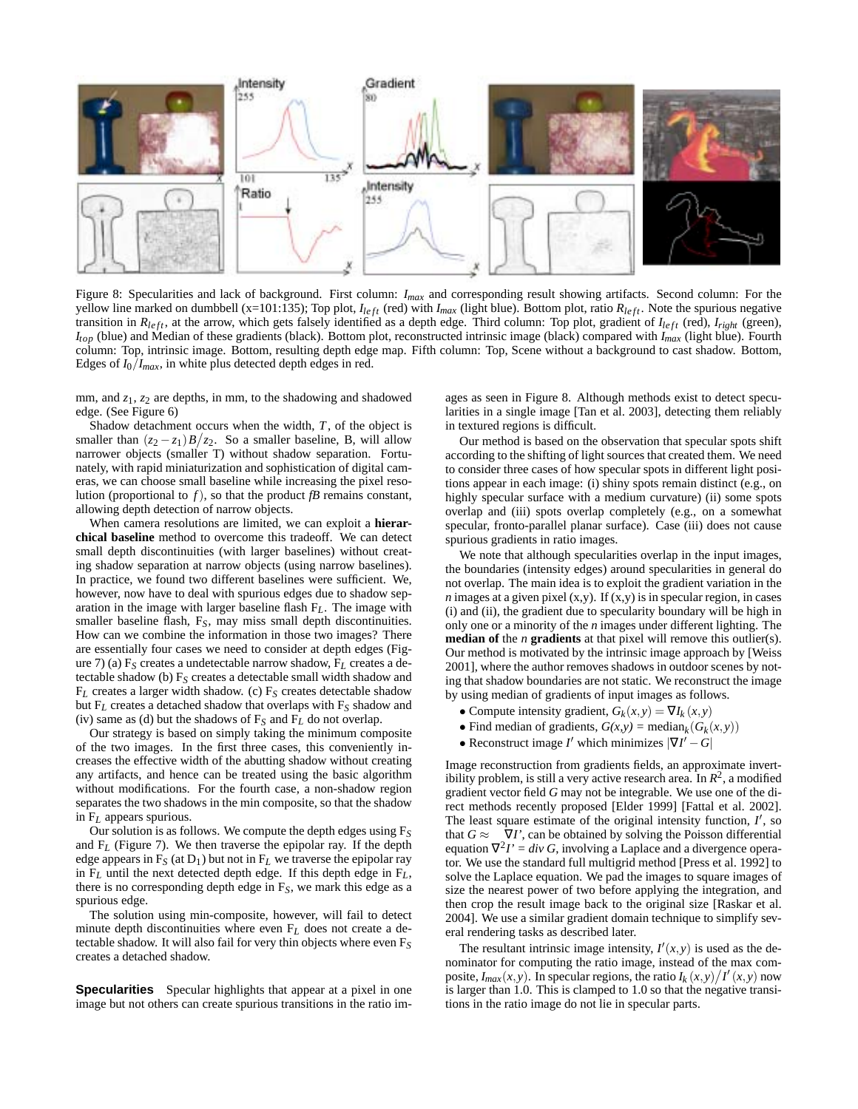

Figure 8: Specularities and lack of background. First column:  $I_{max}$  and corresponding result showing artifacts. Second column: For the yellow line marked on dumbbell (x=101:135); Top plot,  $I_{left}$  (red) with  $I_{max}$  (light blue). Bottom plot, ratio  $R_{left}$ . Note the spurious negative transition in  $R_{left}$ , at the arrow, which gets falsely identified as a depth edge. Third column: Top plot, gradient of  $I_{left}$  (red),  $I_{right}$  (green), *Itop* (blue) and Median of these gradients (black). Bottom plot, reconstructed intrinsic image (black) compared with *Imax* (light blue). Fourth column: Top, intrinsic image. Bottom, resulting depth edge map. Fifth column: Top, Scene without a background to cast shadow. Bottom, Edges of  $I_0/I_{max}$ , in white plus detected depth edges in red.

mm, and  $z_1$ ,  $z_2$  are depths, in mm, to the shadowing and shadowed edge. (See Figure 6)

Shadow detachment occurs when the width, *T*, of the object is smaller than  $(z_2 - z_1)B/z_2$ . So a smaller baseline, B, will allow narrower objects (smaller T) without shadow separation. Fortunately, with rapid miniaturization and sophistication of digital cameras, we can choose small baseline while increasing the pixel resolution (proportional to  $f$ ), so that the product  $f$ B remains constant, allowing depth detection of narrow objects.

When camera resolutions are limited, we can exploit a **hierarchical baseline** method to overcome this tradeoff. We can detect small depth discontinuities (with larger baselines) without creating shadow separation at narrow objects (using narrow baselines). In practice, we found two different baselines were sufficient. We, however, now have to deal with spurious edges due to shadow separation in the image with larger baseline flash F*L*. The image with smaller baseline flash, F*S*, may miss small depth discontinuities. How can we combine the information in those two images? There are essentially four cases we need to consider at depth edges (Figure 7) (a) F*<sup>S</sup>* creates a undetectable narrow shadow, F*<sup>L</sup>* creates a detectable shadow (b) F*<sup>S</sup>* creates a detectable small width shadow and F*<sup>L</sup>* creates a larger width shadow. (c) F*<sup>S</sup>* creates detectable shadow but F*<sup>L</sup>* creates a detached shadow that overlaps with F*<sup>S</sup>* shadow and (iv) same as (d) but the shadows of F*<sup>S</sup>* and F*<sup>L</sup>* do not overlap.

Our strategy is based on simply taking the minimum composite of the two images. In the first three cases, this conveniently increases the effective width of the abutting shadow without creating any artifacts, and hence can be treated using the basic algorithm without modifications. For the fourth case, a non-shadow region separates the two shadows in the min composite, so that the shadow in F*<sup>L</sup>* appears spurious.

Our solution is as follows. We compute the depth edges using F*<sup>S</sup>* and F*<sup>L</sup>* (Figure 7). We then traverse the epipolar ray. If the depth edge appears in  $F_S$  (at  $D_1$ ) but not in  $F_L$  we traverse the epipolar ray in  $F_L$  until the next detected depth edge. If this depth edge in  $F_L$ , there is no corresponding depth edge in F*S*, we mark this edge as a spurious edge.

The solution using min-composite, however, will fail to detect minute depth discontinuities where even  $F_L$  does not create a detectable shadow. It will also fail for very thin objects where even F*<sup>S</sup>* creates a detached shadow.

**Specularities** Specular highlights that appear at a pixel in one image but not others can create spurious transitions in the ratio im-

ages as seen in Figure 8. Although methods exist to detect specularities in a single image [Tan et al. 2003], detecting them reliably in textured regions is difficult.

Our method is based on the observation that specular spots shift according to the shifting of light sources that created them. We need to consider three cases of how specular spots in different light positions appear in each image: (i) shiny spots remain distinct (e.g., on highly specular surface with a medium curvature) (ii) some spots overlap and (iii) spots overlap completely (e.g., on a somewhat specular, fronto-parallel planar surface). Case (iii) does not cause spurious gradients in ratio images.

We note that although specularities overlap in the input images, the boundaries (intensity edges) around specularities in general do not overlap. The main idea is to exploit the gradient variation in the *n* images at a given pixel  $(x,y)$ . If  $(x,y)$  is in specular region, in cases (i) and (ii), the gradient due to specularity boundary will be high in only one or a minority of the *n* images under different lighting. The **median of** the *n* **gradients** at that pixel will remove this outlier(s). Our method is motivated by the intrinsic image approach by [Weiss 2001], where the author removes shadows in outdoor scenes by noting that shadow boundaries are not static. We reconstruct the image by using median of gradients of input images as follows.

- Compute intensity gradient,  $G_k(x, y) = \nabla I_k(x, y)$
- Find median of gradients,  $G(x, y) = \text{median}_k(G_k(x, y))$
- Reconstruct image *I'* which minimizes  $|\nabla I' G|$

Image reconstruction from gradients fields, an approximate invertibility problem, is still a very active research area. In  $R^2$ , a modified gradient vector field *G* may not be integrable. We use one of the direct methods recently proposed [Elder 1999] [Fattal et al. 2002]. The least square estimate of the original intensity function, *I* , so that  $G \approx \nabla I'$ , can be obtained by solving the Poisson differential equation  $\nabla^2 I' = \text{div } G$ , involving a Laplace and a divergence operator. We use the standard full multigrid method [Press et al. 1992] to solve the Laplace equation. We pad the images to square images of size the nearest power of two before applying the integration, and then crop the result image back to the original size [Raskar et al. 2004]. We use a similar gradient domain technique to simplify several rendering tasks as described later.

The resultant intrinsic image intensity,  $I'(x, y)$  is used as the denominator for computing the ratio image, instead of the max composite,  $I_{max}(x, y)$ . In specular regions, the ratio  $I_k(x, y) / I'(x, y)$  now is larger than 1.0. This is clamped to 1.0 so that the negative transitions in the ratio image do not lie in specular parts.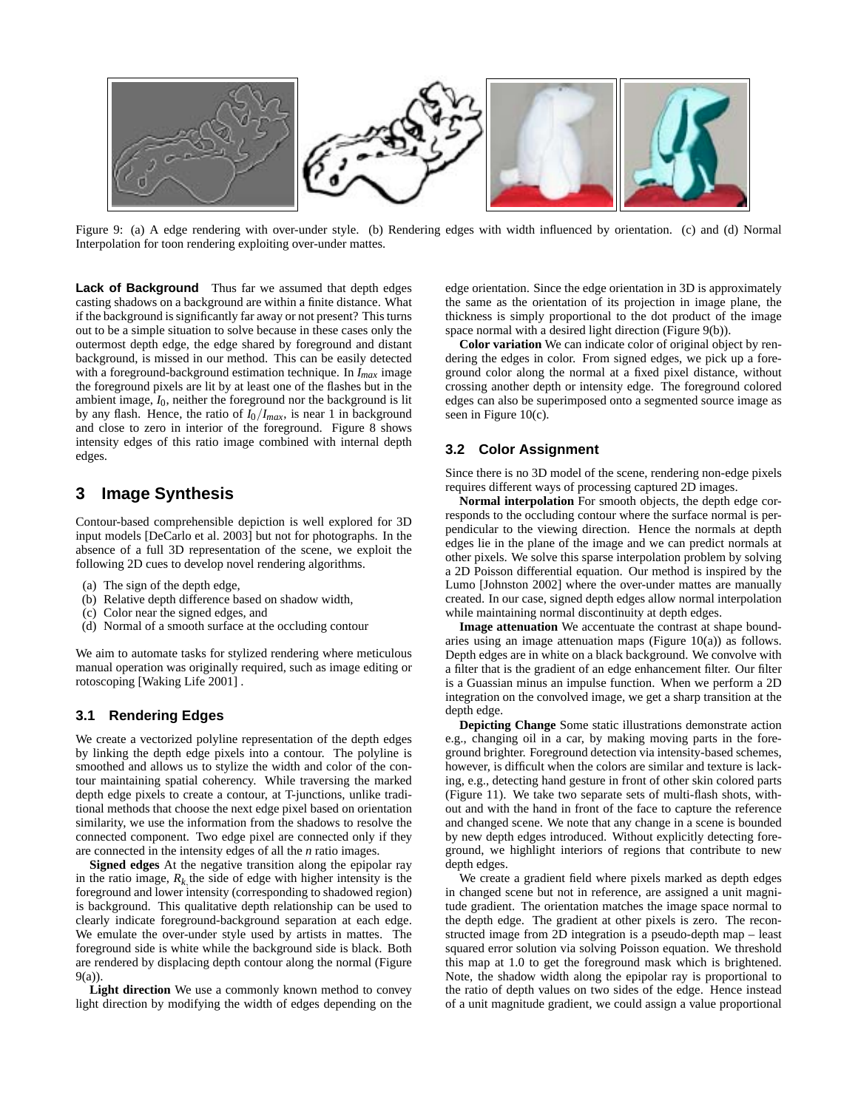

Figure 9: (a) A edge rendering with over-under style. (b) Rendering edges with width influenced by orientation. (c) and (d) Normal Interpolation for toon rendering exploiting over-under mattes.

**Lack of Background** Thus far we assumed that depth edges casting shadows on a background are within a finite distance. What if the background is significantly far away or not present? This turns out to be a simple situation to solve because in these cases only the outermost depth edge, the edge shared by foreground and distant background, is missed in our method. This can be easily detected with a foreground-background estimation technique. In *Imax* image the foreground pixels are lit by at least one of the flashes but in the ambient image, *I*0, neither the foreground nor the background is lit by any flash. Hence, the ratio of  $I_0/I_{max}$ , is near 1 in background and close to zero in interior of the foreground. Figure 8 shows intensity edges of this ratio image combined with internal depth edges.

# **3 Image Synthesis**

Contour-based comprehensible depiction is well explored for 3D input models [DeCarlo et al. 2003] but not for photographs. In the absence of a full 3D representation of the scene, we exploit the following 2D cues to develop novel rendering algorithms.

- (a) The sign of the depth edge,
- (b) Relative depth difference based on shadow width,
- (c) Color near the signed edges, and
- (d) Normal of a smooth surface at the occluding contour

We aim to automate tasks for stylized rendering where meticulous manual operation was originally required, such as image editing or rotoscoping [Waking Life 2001] .

#### **3.1 Rendering Edges**

We create a vectorized polyline representation of the depth edges by linking the depth edge pixels into a contour. The polyline is smoothed and allows us to stylize the width and color of the contour maintaining spatial coherency. While traversing the marked depth edge pixels to create a contour, at T-junctions, unlike traditional methods that choose the next edge pixel based on orientation similarity, we use the information from the shadows to resolve the connected component. Two edge pixel are connected only if they are connected in the intensity edges of all the *n* ratio images.

**Signed edges** At the negative transition along the epipolar ray in the ratio image,  $R_k$ , the side of edge with higher intensity is the foreground and lower intensity (corresponding to shadowed region) is background. This qualitative depth relationship can be used to clearly indicate foreground-background separation at each edge. We emulate the over-under style used by artists in mattes. The foreground side is white while the background side is black. Both are rendered by displacing depth contour along the normal (Figure 9(a)).

**Light direction** We use a commonly known method to convey light direction by modifying the width of edges depending on the edge orientation. Since the edge orientation in 3D is approximately the same as the orientation of its projection in image plane, the thickness is simply proportional to the dot product of the image space normal with a desired light direction (Figure 9(b)).

**Color variation** We can indicate color of original object by rendering the edges in color. From signed edges, we pick up a foreground color along the normal at a fixed pixel distance, without crossing another depth or intensity edge. The foreground colored edges can also be superimposed onto a segmented source image as seen in Figure 10(c).

#### **3.2 Color Assignment**

Since there is no 3D model of the scene, rendering non-edge pixels requires different ways of processing captured 2D images.

**Normal interpolation** For smooth objects, the depth edge corresponds to the occluding contour where the surface normal is perpendicular to the viewing direction. Hence the normals at depth edges lie in the plane of the image and we can predict normals at other pixels. We solve this sparse interpolation problem by solving a 2D Poisson differential equation. Our method is inspired by the Lumo [Johnston 2002] where the over-under mattes are manually created. In our case, signed depth edges allow normal interpolation while maintaining normal discontinuity at depth edges.

**Image attenuation** We accentuate the contrast at shape boundaries using an image attenuation maps (Figure 10(a)) as follows. Depth edges are in white on a black background. We convolve with a filter that is the gradient of an edge enhancement filter. Our filter is a Guassian minus an impulse function. When we perform a 2D integration on the convolved image, we get a sharp transition at the depth edge.

**Depicting Change** Some static illustrations demonstrate action e.g., changing oil in a car, by making moving parts in the foreground brighter. Foreground detection via intensity-based schemes, however, is difficult when the colors are similar and texture is lacking, e.g., detecting hand gesture in front of other skin colored parts (Figure 11). We take two separate sets of multi-flash shots, without and with the hand in front of the face to capture the reference and changed scene. We note that any change in a scene is bounded by new depth edges introduced. Without explicitly detecting foreground, we highlight interiors of regions that contribute to new depth edges.

We create a gradient field where pixels marked as depth edges in changed scene but not in reference, are assigned a unit magnitude gradient. The orientation matches the image space normal to the depth edge. The gradient at other pixels is zero. The reconstructed image from 2D integration is a pseudo-depth map – least squared error solution via solving Poisson equation. We threshold this map at 1.0 to get the foreground mask which is brightened. Note, the shadow width along the epipolar ray is proportional to the ratio of depth values on two sides of the edge. Hence instead of a unit magnitude gradient, we could assign a value proportional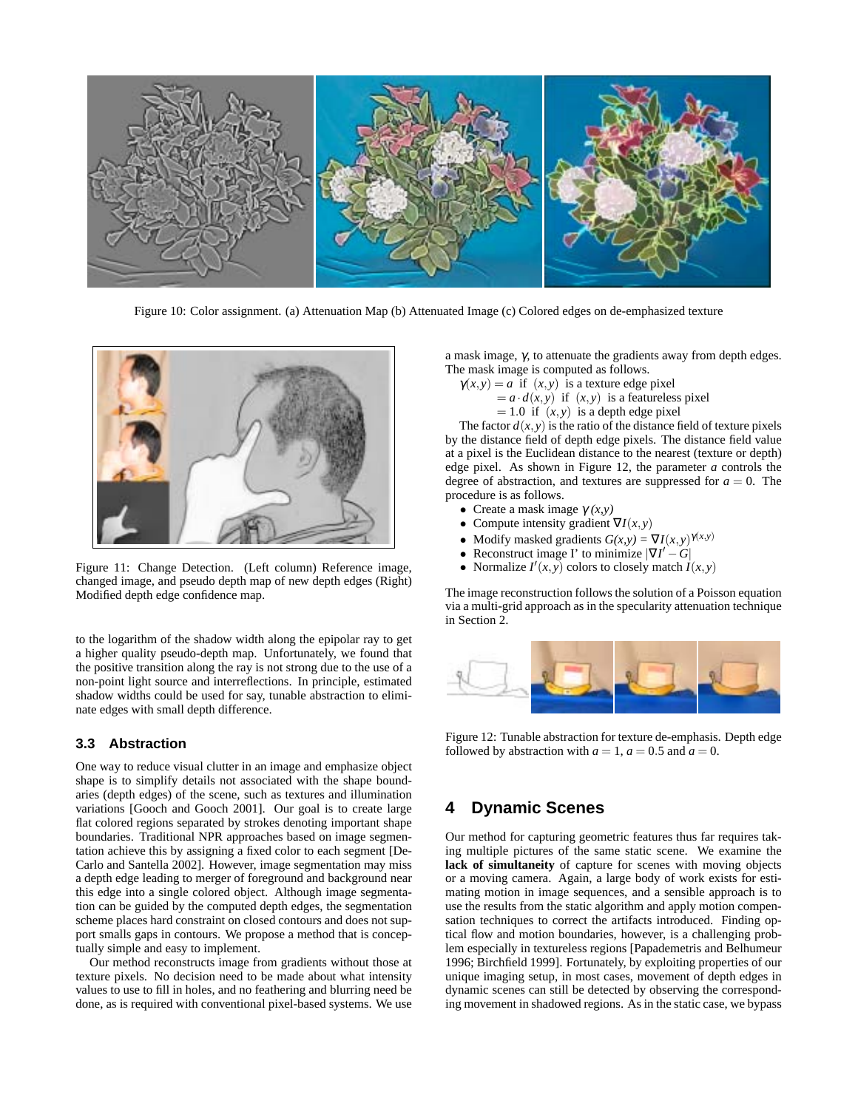

Figure 10: Color assignment. (a) Attenuation Map (b) Attenuated Image (c) Colored edges on de-emphasized texture



Figure 11: Change Detection. (Left column) Reference image, changed image, and pseudo depth map of new depth edges (Right) Modified depth edge confidence map.

to the logarithm of the shadow width along the epipolar ray to get a higher quality pseudo-depth map. Unfortunately, we found that the positive transition along the ray is not strong due to the use of a non-point light source and interreflections. In principle, estimated shadow widths could be used for say, tunable abstraction to eliminate edges with small depth difference.

#### **3.3 Abstraction**

One way to reduce visual clutter in an image and emphasize object shape is to simplify details not associated with the shape boundaries (depth edges) of the scene, such as textures and illumination variations [Gooch and Gooch 2001]. Our goal is to create large flat colored regions separated by strokes denoting important shape boundaries. Traditional NPR approaches based on image segmentation achieve this by assigning a fixed color to each segment [De-Carlo and Santella 2002]. However, image segmentation may miss a depth edge leading to merger of foreground and background near this edge into a single colored object. Although image segmentation can be guided by the computed depth edges, the segmentation scheme places hard constraint on closed contours and does not support smalls gaps in contours. We propose a method that is conceptually simple and easy to implement.

Our method reconstructs image from gradients without those at texture pixels. No decision need to be made about what intensity values to use to fill in holes, and no feathering and blurring need be done, as is required with conventional pixel-based systems. We use a mask image, γ, to attenuate the gradients away from depth edges. The mask image is computed as follows.

- $\gamma(x, y) = a$  if  $(x, y)$  is a texture edge pixel
	- $= a \cdot d(x, y)$  if  $(x, y)$  is a featureless pixel
	- $= 1.0$  if  $(x, y)$  is a depth edge pixel

The factor  $d(x, y)$  is the ratio of the distance field of texture pixels by the distance field of depth edge pixels. The distance field value at a pixel is the Euclidean distance to the nearest (texture or depth) edge pixel. As shown in Figure 12, the parameter *a* controls the degree of abstraction, and textures are suppressed for  $a = 0$ . The procedure is as follows.

- Create a mask image  $\gamma(x, y)$
- *•* Compute intensity gradient ∇*I*(*x*, *y*)
- Modify masked gradients  $G(x, y) = \nabla I(x, y) \gamma(x, y)$
- Reconstruct image I' to minimize  $|\nabla I' G|$
- Normalize  $I'(x, y)$  colors to closely match  $I(x, y)$

The image reconstruction follows the solution of a Poisson equation via a multi-grid approach as in the specularity attenuation technique in Section 2.



Figure 12: Tunable abstraction for texture de-emphasis. Depth edge followed by abstraction with  $a = 1$ ,  $a = 0.5$  and  $a = 0$ .

# **4 Dynamic Scenes**

Our method for capturing geometric features thus far requires taking multiple pictures of the same static scene. We examine the **lack of simultaneity** of capture for scenes with moving objects or a moving camera. Again, a large body of work exists for estimating motion in image sequences, and a sensible approach is to use the results from the static algorithm and apply motion compensation techniques to correct the artifacts introduced. Finding optical flow and motion boundaries, however, is a challenging problem especially in textureless regions [Papademetris and Belhumeur 1996; Birchfield 1999]. Fortunately, by exploiting properties of our unique imaging setup, in most cases, movement of depth edges in dynamic scenes can still be detected by observing the corresponding movement in shadowed regions. As in the static case, we bypass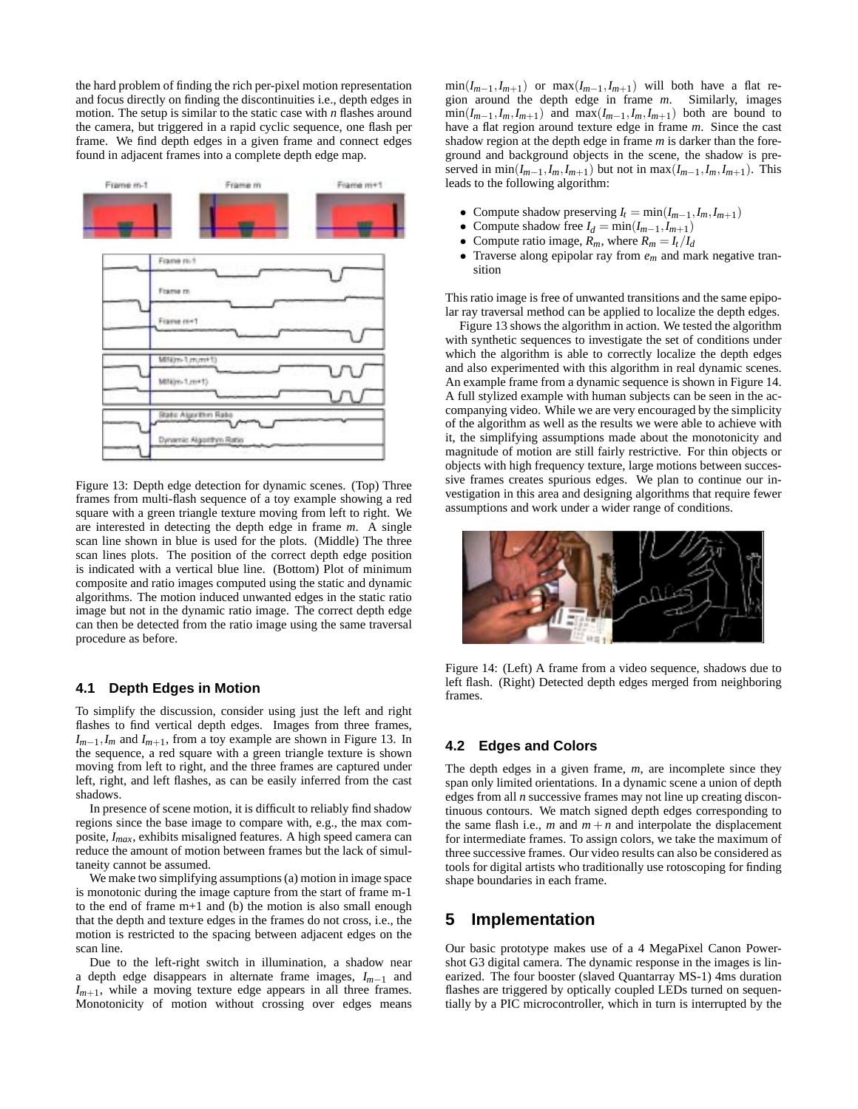the hard problem of finding the rich per-pixel motion representation and focus directly on finding the discontinuities i.e., depth edges in motion. The setup is similar to the static case with *n* flashes around the camera, but triggered in a rapid cyclic sequence, one flash per frame. We find depth edges in a given frame and connect edges found in adjacent frames into a complete depth edge map.



Figure 13: Depth edge detection for dynamic scenes. (Top) Three frames from multi-flash sequence of a toy example showing a red square with a green triangle texture moving from left to right. We are interested in detecting the depth edge in frame *m*. A single scan line shown in blue is used for the plots. (Middle) The three scan lines plots. The position of the correct depth edge position is indicated with a vertical blue line. (Bottom) Plot of minimum composite and ratio images computed using the static and dynamic algorithms. The motion induced unwanted edges in the static ratio image but not in the dynamic ratio image. The correct depth edge can then be detected from the ratio image using the same traversal procedure as before.

### **4.1 Depth Edges in Motion**

To simplify the discussion, consider using just the left and right flashes to find vertical depth edges. Images from three frames,  $I_{m-1}$ , $I_m$  and  $I_{m+1}$ , from a toy example are shown in Figure 13. In the sequence, a red square with a green triangle texture is shown moving from left to right, and the three frames are captured under left, right, and left flashes, as can be easily inferred from the cast shadows.

In presence of scene motion, it is difficult to reliably find shadow regions since the base image to compare with, e.g., the max composite, *Imax*, exhibits misaligned features. A high speed camera can reduce the amount of motion between frames but the lack of simultaneity cannot be assumed.

We make two simplifying assumptions (a) motion in image space is monotonic during the image capture from the start of frame m-1 to the end of frame m+1 and (b) the motion is also small enough that the depth and texture edges in the frames do not cross, i.e., the motion is restricted to the spacing between adjacent edges on the scan line.

Due to the left-right switch in illumination, a shadow near a depth edge disappears in alternate frame images, *Im*−<sup>1</sup> and  $I_{m+1}$ , while a moving texture edge appears in all three frames. Monotonicity of motion without crossing over edges means min(*Im*−1,*Im*<sup>+</sup>1) or max(*Im*−1,*Im*<sup>+</sup>1) will both have a flat region around the depth edge in frame *m*. Similarly, images  $min(I_{m-1}, I_m, I_{m+1})$  and  $max(I_{m-1}, I_m, I_{m+1})$  both are bound to have a flat region around texture edge in frame *m*. Since the cast shadow region at the depth edge in frame *m* is darker than the foreground and background objects in the scene, the shadow is preserved in  $\min(I_{m-1}, I_m, I_{m+1})$  but not in  $\max(I_{m-1}, I_m, I_{m+1})$ . This leads to the following algorithm:

- Compute shadow preserving  $I_t = \min(I_{m-1}, I_m, I_{m+1})$
- Compute shadow free  $I_d = \min(I_{m-1}, I_{m+1})$ <br>• Compute ratio image.  $R_m$ , where  $R_m = I_t / I_d$
- Compute ratio image,  $R_m$ , where  $R_m = I_t/I_d$
- *•* Traverse along epipolar ray from *em* and mark negative transition

This ratio image is free of unwanted transitions and the same epipolar ray traversal method can be applied to localize the depth edges.

Figure 13 shows the algorithm in action. We tested the algorithm with synthetic sequences to investigate the set of conditions under which the algorithm is able to correctly localize the depth edges and also experimented with this algorithm in real dynamic scenes. An example frame from a dynamic sequence is shown in Figure 14. A full stylized example with human subjects can be seen in the accompanying video. While we are very encouraged by the simplicity of the algorithm as well as the results we were able to achieve with it, the simplifying assumptions made about the monotonicity and magnitude of motion are still fairly restrictive. For thin objects or objects with high frequency texture, large motions between successive frames creates spurious edges. We plan to continue our investigation in this area and designing algorithms that require fewer assumptions and work under a wider range of conditions.



Figure 14: (Left) A frame from a video sequence, shadows due to left flash. (Right) Detected depth edges merged from neighboring frames.

### **4.2 Edges and Colors**

The depth edges in a given frame, *m*, are incomplete since they span only limited orientations. In a dynamic scene a union of depth edges from all *n* successive frames may not line up creating discontinuous contours. We match signed depth edges corresponding to the same flash i.e., *m* and  $m + n$  and interpolate the displacement for intermediate frames. To assign colors, we take the maximum of three successive frames. Our video results can also be considered as tools for digital artists who traditionally use rotoscoping for finding shape boundaries in each frame.

### **5 Implementation**

Our basic prototype makes use of a 4 MegaPixel Canon Powershot G3 digital camera. The dynamic response in the images is linearized. The four booster (slaved Quantarray MS-1) 4ms duration flashes are triggered by optically coupled LEDs turned on sequentially by a PIC microcontroller, which in turn is interrupted by the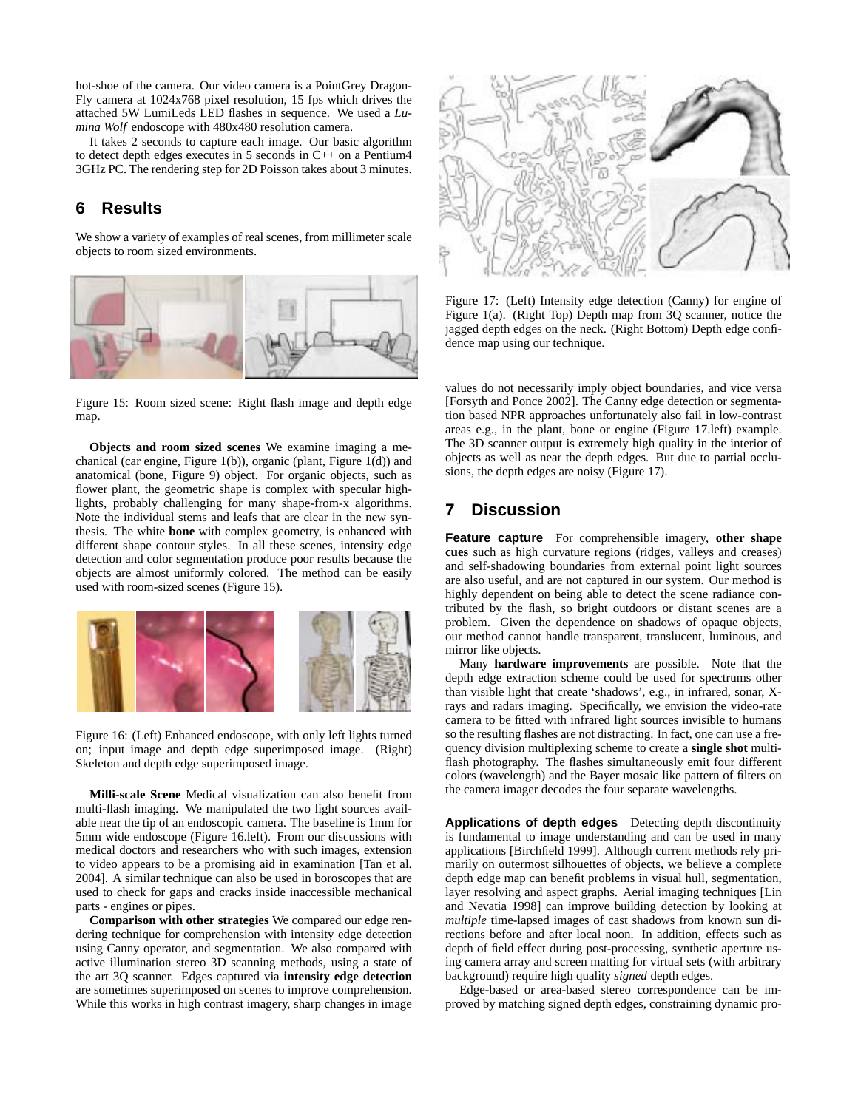hot-shoe of the camera. Our video camera is a PointGrey Dragon-Fly camera at 1024x768 pixel resolution, 15 fps which drives the attached 5W LumiLeds LED flashes in sequence. We used a *Lumina Wolf* endoscope with 480x480 resolution camera.

It takes 2 seconds to capture each image. Our basic algorithm to detect depth edges executes in 5 seconds in C++ on a Pentium4 3GHz PC. The rendering step for 2D Poisson takes about 3 minutes.

# **6 Results**

We show a variety of examples of real scenes, from millimeter scale objects to room sized environments.



Figure 15: Room sized scene: Right flash image and depth edge map.

**Objects and room sized scenes** We examine imaging a mechanical (car engine, Figure 1(b)), organic (plant, Figure 1(d)) and anatomical (bone, Figure 9) object. For organic objects, such as flower plant, the geometric shape is complex with specular highlights, probably challenging for many shape-from-x algorithms. Note the individual stems and leafs that are clear in the new synthesis. The white **bone** with complex geometry, is enhanced with different shape contour styles. In all these scenes, intensity edge detection and color segmentation produce poor results because the objects are almost uniformly colored. The method can be easily used with room-sized scenes (Figure 15).



Figure 16: (Left) Enhanced endoscope, with only left lights turned on; input image and depth edge superimposed image. (Right) Skeleton and depth edge superimposed image.

**Milli-scale Scene** Medical visualization can also benefit from multi-flash imaging. We manipulated the two light sources available near the tip of an endoscopic camera. The baseline is 1mm for 5mm wide endoscope (Figure 16.left). From our discussions with medical doctors and researchers who with such images, extension to video appears to be a promising aid in examination [Tan et al. 2004]. A similar technique can also be used in boroscopes that are used to check for gaps and cracks inside inaccessible mechanical parts - engines or pipes.

**Comparison with other strategies** We compared our edge rendering technique for comprehension with intensity edge detection using Canny operator, and segmentation. We also compared with active illumination stereo 3D scanning methods, using a state of the art 3Q scanner. Edges captured via **intensity edge detection** are sometimes superimposed on scenes to improve comprehension. While this works in high contrast imagery, sharp changes in image



Figure 17: (Left) Intensity edge detection (Canny) for engine of Figure 1(a). (Right Top) Depth map from 3Q scanner, notice the jagged depth edges on the neck. (Right Bottom) Depth edge confidence map using our technique.

values do not necessarily imply object boundaries, and vice versa [Forsyth and Ponce 2002]. The Canny edge detection or segmentation based NPR approaches unfortunately also fail in low-contrast areas e.g., in the plant, bone or engine (Figure 17.left) example. The 3D scanner output is extremely high quality in the interior of objects as well as near the depth edges. But due to partial occlusions, the depth edges are noisy (Figure 17).

# **7 Discussion**

**Feature capture** For comprehensible imagery, **other shape cues** such as high curvature regions (ridges, valleys and creases) and self-shadowing boundaries from external point light sources are also useful, and are not captured in our system. Our method is highly dependent on being able to detect the scene radiance contributed by the flash, so bright outdoors or distant scenes are a problem. Given the dependence on shadows of opaque objects, our method cannot handle transparent, translucent, luminous, and mirror like objects.

Many **hardware improvements** are possible. Note that the depth edge extraction scheme could be used for spectrums other than visible light that create 'shadows', e.g., in infrared, sonar, Xrays and radars imaging. Specifically, we envision the video-rate camera to be fitted with infrared light sources invisible to humans so the resulting flashes are not distracting. In fact, one can use a frequency division multiplexing scheme to create a **single shot** multiflash photography. The flashes simultaneously emit four different colors (wavelength) and the Bayer mosaic like pattern of filters on the camera imager decodes the four separate wavelengths.

**Applications of depth edges** Detecting depth discontinuity is fundamental to image understanding and can be used in many applications [Birchfield 1999]. Although current methods rely primarily on outermost silhouettes of objects, we believe a complete depth edge map can benefit problems in visual hull, segmentation, layer resolving and aspect graphs. Aerial imaging techniques [Lin and Nevatia 1998] can improve building detection by looking at *multiple* time-lapsed images of cast shadows from known sun directions before and after local noon. In addition, effects such as depth of field effect during post-processing, synthetic aperture using camera array and screen matting for virtual sets (with arbitrary background) require high quality *signed* depth edges.

Edge-based or area-based stereo correspondence can be improved by matching signed depth edges, constraining dynamic pro